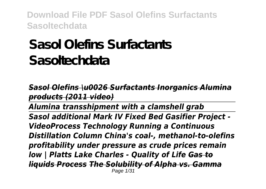# **Sasol Olefins Surfactants Sasoltechdata**

*Sasol Olefins \u0026 Surfactants Inorganics Alumina products (2011 video)*

*Alumina transshipment with a clamshell grab*

*Sasol additional Mark IV Fixed Bed Gasifier Project - VideoProcess Technology Running a Continuous Distillation Column China's coal-, methanol-to-olefins profitability under pressure as crude prices remain low | Platts Lake Charles - Quality of Life Gas to liquids Process The Solubility of Alpha vs. Gamma* Page 1/31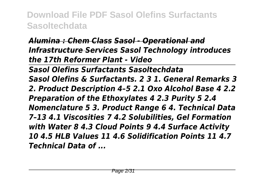#### *Alumina : Chem Class Sasol - Operational and Infrastructure Services Sasol Technology introduces the 17th Reformer Plant - Video*

*Sasol Olefins Surfactants Sasoltechdata Sasol Olefins & Surfactants. 2 3 1. General Remarks 3 2. Product Description 4–5 2.1 Oxo Alcohol Base 4 2.2 Preparation of the Ethoxylates 4 2.3 Purity 5 2.4 Nomenclature 5 3. Product Range 6 4. Technical Data 7–13 4.1 Viscosities 7 4.2 Solubilities, Gel Formation with Water 8 4.3 Cloud Points 9 4.4 Surface Activity 10 4.5 HLB Values 11 4.6 Solidification Points 11 4.7 Technical Data of ...*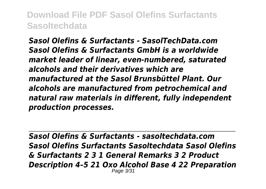*Sasol Olefins & Surfactants - SasolTechData.com Sasol Olefins & Surfactants GmbH is a worldwide market leader of linear, even-numbered, saturated alcohols and their derivatives which are manufactured at the Sasol Brunsbüttel Plant. Our alcohols are manufactured from petrochemical and natural raw materials in different, fully independent production processes.*

*Sasol Olefins & Surfactants - sasoltechdata.com Sasol Olefins Surfactants Sasoltechdata Sasol Olefins & Surfactants 2 3 1 General Remarks 3 2 Product Description 4–5 21 Oxo Alcohol Base 4 22 Preparation* Page 3/31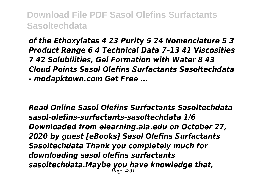*of the Ethoxylates 4 23 Purity 5 24 Nomenclature 5 3 Product Range 6 4 Technical Data 7–13 41 Viscosities 7 42 Solubilities, Gel Formation with Water 8 43 Cloud Points Sasol Olefins Surfactants Sasoltechdata - modapktown.com Get Free ...*

*Read Online Sasol Olefins Surfactants Sasoltechdata sasol-olefins-surfactants-sasoltechdata 1/6 Downloaded from elearning.ala.edu on October 27, 2020 by guest [eBooks] Sasol Olefins Surfactants Sasoltechdata Thank you completely much for downloading sasol olefins surfactants sasoltechdata.Maybe you have knowledge that,* Page 4/31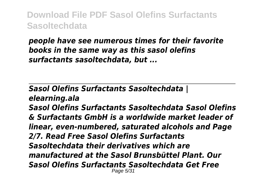*people have see numerous times for their favorite books in the same way as this sasol olefins surfactants sasoltechdata, but ...*

*Sasol Olefins Surfactants Sasoltechdata | elearning.ala Sasol Olefins Surfactants Sasoltechdata Sasol Olefins & Surfactants GmbH is a worldwide market leader of linear, even-numbered, saturated alcohols and Page 2/7. Read Free Sasol Olefins Surfactants Sasoltechdata their derivatives which are manufactured at the Sasol Brunsbüttel Plant. Our Sasol Olefins Surfactants Sasoltechdata Get Free* Page 5/31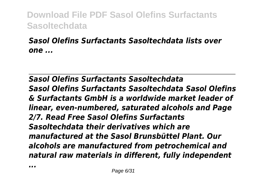#### *Sasol Olefins Surfactants Sasoltechdata lists over one ...*

*Sasol Olefins Surfactants Sasoltechdata Sasol Olefins Surfactants Sasoltechdata Sasol Olefins & Surfactants GmbH is a worldwide market leader of linear, even-numbered, saturated alcohols and Page 2/7. Read Free Sasol Olefins Surfactants Sasoltechdata their derivatives which are manufactured at the Sasol Brunsbüttel Plant. Our alcohols are manufactured from petrochemical and natural raw materials in different, fully independent*

*...*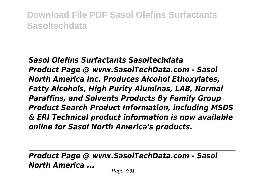*Sasol Olefins Surfactants Sasoltechdata Product Page @ www.SasolTechData.com - Sasol North America Inc. Produces Alcohol Ethoxylates, Fatty Alcohols, High Purity Aluminas, LAB, Normal Paraffins, and Solvents Products By Family Group Product Search Product Information, including MSDS & ERI Technical product information is now available online for Sasol North America's products.*

*Product Page @ www.SasolTechData.com - Sasol North America ...*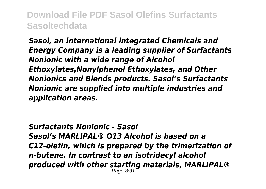*Sasol, an international integrated Chemicals and Energy Company is a leading supplier of Surfactants Nonionic with a wide range of Alcohol Ethoxylates,Nonylphenol Ethoxylates, and Other Nonionics and Blends products. Sasol's Surfactants Nonionic are supplied into multiple industries and application areas.*

*Surfactants Nonionic - Sasol Sasol's MARLIPAL® O13 Alcohol is based on a C12-olefin, which is prepared by the trimerization of n-butene. In contrast to an isotridecyl alcohol produced with other starting materials, MARLIPAL®* Page 8/31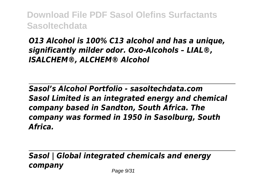#### *O13 Alcohol is 100% C13 alcohol and has a unique, significantly milder odor. Oxo-Alcohols – LIAL®, ISALCHEM®, ALCHEM® Alcohol*

*Sasol's Alcohol Portfolio - sasoltechdata.com Sasol Limited is an integrated energy and chemical company based in Sandton, South Africa. The company was formed in 1950 in Sasolburg, South Africa.*

*Sasol | Global integrated chemicals and energy company* Page  $9/31$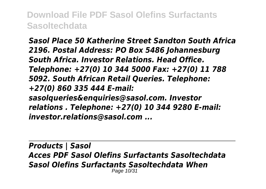*Sasol Place 50 Katherine Street Sandton South Africa 2196. Postal Address: PO Box 5486 Johannesburg South Africa. Investor Relations. Head Office. Telephone: +27(0) 10 344 5000 Fax: +27(0) 11 788 5092. South African Retail Queries. Telephone: +27(0) 860 335 444 E-mail: sasolqueries&enquiries@sasol.com. Investor relations . Telephone: +27(0) 10 344 9280 E-mail: investor.relations@sasol.com ...*

*Products | Sasol Acces PDF Sasol Olefins Surfactants Sasoltechdata Sasol Olefins Surfactants Sasoltechdata When* Page 10/31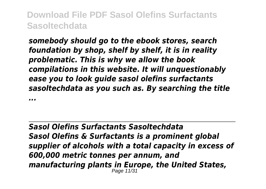*somebody should go to the ebook stores, search foundation by shop, shelf by shelf, it is in reality problematic. This is why we allow the book compilations in this website. It will unquestionably ease you to look guide sasol olefins surfactants sasoltechdata as you such as. By searching the title*

*...*

*Sasol Olefins Surfactants Sasoltechdata Sasol Olefins & Surfactants is a prominent global supplier of alcohols with a total capacity in excess of 600,000 metric tonnes per annum, and manufacturing plants in Europe, the United States,* Page 11/31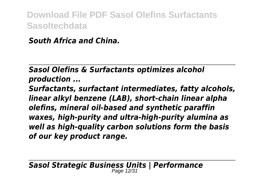*South Africa and China.*

*Sasol Olefins & Surfactants optimizes alcohol production ...*

*Surfactants, surfactant intermediates, fatty alcohols, linear alkyl benzene (LAB), short-chain linear alpha olefins, mineral oil-based and synthetic paraffin waxes, high-purity and ultra-high-purity alumina as well as high-quality carbon solutions form the basis of our key product range.*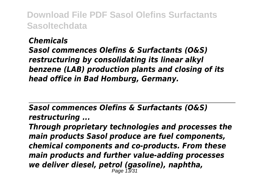#### *Chemicals*

*Sasol commences Olefins & Surfactants (O&S) restructuring by consolidating its linear alkyl benzene (LAB) production plants and closing of its head office in Bad Homburg, Germany.*

*Sasol commences Olefins & Surfactants (O&S) restructuring ...*

*Through proprietary technologies and processes the main products Sasol produce are fuel components, chemical components and co-products. From these main products and further value-adding processes we deliver diesel, petrol (gasoline), naphtha,* Page 13/31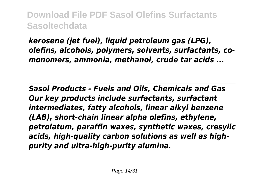*kerosene (jet fuel), liquid petroleum gas (LPG), olefins, alcohols, polymers, solvents, surfactants, comonomers, ammonia, methanol, crude tar acids ...*

*Sasol Products - Fuels and Oils, Chemicals and Gas Our key products include surfactants, surfactant intermediates, fatty alcohols, linear alkyl benzene (LAB), short-chain linear alpha olefins, ethylene, petrolatum, paraffin waxes, synthetic waxes, cresylic acids, high-quality carbon solutions as well as highpurity and ultra-high-purity alumina.*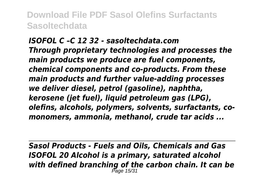*ISOFOL C –C 12 32 - sasoltechdata.com Through proprietary technologies and processes the main products we produce are fuel components, chemical components and co-products. From these main products and further value-adding processes we deliver diesel, petrol (gasoline), naphtha, kerosene (jet fuel), liquid petroleum gas (LPG), olefins, alcohols, polymers, solvents, surfactants, comonomers, ammonia, methanol, crude tar acids ...*

*Sasol Products - Fuels and Oils, Chemicals and Gas ISOFOL 20 Alcohol is a primary, saturated alcohol with defined branching of the carbon chain. It can be* Page 15/31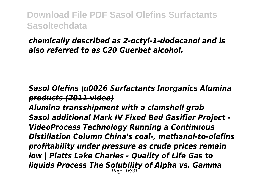#### *chemically described as 2-octyl-1-dodecanol and is also referred to as C20 Guerbet alcohol.*

*Sasol Olefins \u0026 Surfactants Inorganics Alumina products (2011 video)*

*Alumina transshipment with a clamshell grab*

*Sasol additional Mark IV Fixed Bed Gasifier Project - VideoProcess Technology Running a Continuous Distillation Column China's coal-, methanol-to-olefins profitability under pressure as crude prices remain low | Platts Lake Charles - Quality of Life Gas to liquids Process The Solubility of Alpha vs. Gamma* Page 16/31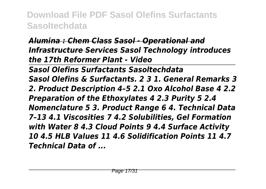#### *Alumina : Chem Class Sasol - Operational and Infrastructure Services Sasol Technology introduces the 17th Reformer Plant - Video*

*Sasol Olefins Surfactants Sasoltechdata Sasol Olefins & Surfactants. 2 3 1. General Remarks 3 2. Product Description 4–5 2.1 Oxo Alcohol Base 4 2.2 Preparation of the Ethoxylates 4 2.3 Purity 5 2.4 Nomenclature 5 3. Product Range 6 4. Technical Data 7–13 4.1 Viscosities 7 4.2 Solubilities, Gel Formation with Water 8 4.3 Cloud Points 9 4.4 Surface Activity 10 4.5 HLB Values 11 4.6 Solidification Points 11 4.7 Technical Data of ...*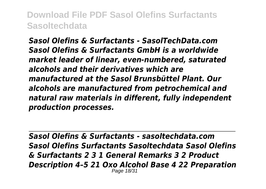*Sasol Olefins & Surfactants - SasolTechData.com Sasol Olefins & Surfactants GmbH is a worldwide market leader of linear, even-numbered, saturated alcohols and their derivatives which are manufactured at the Sasol Brunsbüttel Plant. Our alcohols are manufactured from petrochemical and natural raw materials in different, fully independent production processes.*

*Sasol Olefins & Surfactants - sasoltechdata.com Sasol Olefins Surfactants Sasoltechdata Sasol Olefins & Surfactants 2 3 1 General Remarks 3 2 Product Description 4–5 21 Oxo Alcohol Base 4 22 Preparation* Page 18/31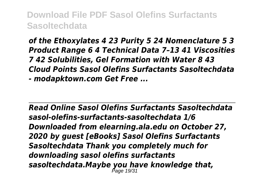*of the Ethoxylates 4 23 Purity 5 24 Nomenclature 5 3 Product Range 6 4 Technical Data 7–13 41 Viscosities 7 42 Solubilities, Gel Formation with Water 8 43 Cloud Points Sasol Olefins Surfactants Sasoltechdata - modapktown.com Get Free ...*

*Read Online Sasol Olefins Surfactants Sasoltechdata sasol-olefins-surfactants-sasoltechdata 1/6 Downloaded from elearning.ala.edu on October 27, 2020 by guest [eBooks] Sasol Olefins Surfactants Sasoltechdata Thank you completely much for downloading sasol olefins surfactants sasoltechdata.Maybe you have knowledge that,* Page 19/31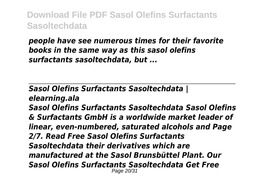*people have see numerous times for their favorite books in the same way as this sasol olefins surfactants sasoltechdata, but ...*

*Sasol Olefins Surfactants Sasoltechdata | elearning.ala Sasol Olefins Surfactants Sasoltechdata Sasol Olefins & Surfactants GmbH is a worldwide market leader of linear, even-numbered, saturated alcohols and Page 2/7. Read Free Sasol Olefins Surfactants Sasoltechdata their derivatives which are manufactured at the Sasol Brunsbüttel Plant. Our Sasol Olefins Surfactants Sasoltechdata Get Free* Page 20/31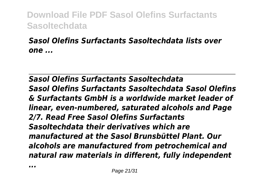#### *Sasol Olefins Surfactants Sasoltechdata lists over one ...*

*Sasol Olefins Surfactants Sasoltechdata Sasol Olefins Surfactants Sasoltechdata Sasol Olefins & Surfactants GmbH is a worldwide market leader of linear, even-numbered, saturated alcohols and Page 2/7. Read Free Sasol Olefins Surfactants Sasoltechdata their derivatives which are manufactured at the Sasol Brunsbüttel Plant. Our alcohols are manufactured from petrochemical and natural raw materials in different, fully independent*

*...*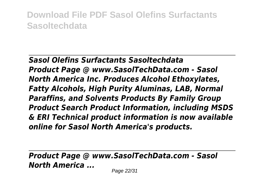*Sasol Olefins Surfactants Sasoltechdata Product Page @ www.SasolTechData.com - Sasol North America Inc. Produces Alcohol Ethoxylates, Fatty Alcohols, High Purity Aluminas, LAB, Normal Paraffins, and Solvents Products By Family Group Product Search Product Information, including MSDS & ERI Technical product information is now available online for Sasol North America's products.*

*Product Page @ www.SasolTechData.com - Sasol North America ...*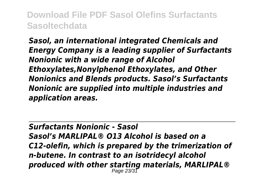*Sasol, an international integrated Chemicals and Energy Company is a leading supplier of Surfactants Nonionic with a wide range of Alcohol Ethoxylates,Nonylphenol Ethoxylates, and Other Nonionics and Blends products. Sasol's Surfactants Nonionic are supplied into multiple industries and application areas.*

*Surfactants Nonionic - Sasol Sasol's MARLIPAL® O13 Alcohol is based on a C12-olefin, which is prepared by the trimerization of n-butene. In contrast to an isotridecyl alcohol produced with other starting materials, MARLIPAL®* Page 23/31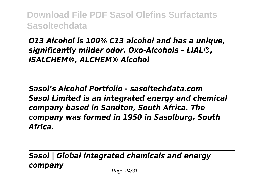#### *O13 Alcohol is 100% C13 alcohol and has a unique, significantly milder odor. Oxo-Alcohols – LIAL®, ISALCHEM®, ALCHEM® Alcohol*

*Sasol's Alcohol Portfolio - sasoltechdata.com Sasol Limited is an integrated energy and chemical company based in Sandton, South Africa. The company was formed in 1950 in Sasolburg, South Africa.*

*Sasol | Global integrated chemicals and energy company* Page 24/31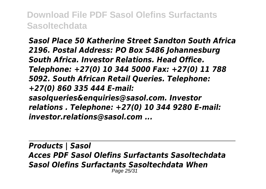*Sasol Place 50 Katherine Street Sandton South Africa 2196. Postal Address: PO Box 5486 Johannesburg South Africa. Investor Relations. Head Office. Telephone: +27(0) 10 344 5000 Fax: +27(0) 11 788 5092. South African Retail Queries. Telephone: +27(0) 860 335 444 E-mail: sasolqueries&enquiries@sasol.com. Investor relations . Telephone: +27(0) 10 344 9280 E-mail: investor.relations@sasol.com ...*

*Products | Sasol Acces PDF Sasol Olefins Surfactants Sasoltechdata Sasol Olefins Surfactants Sasoltechdata When* Page 25/31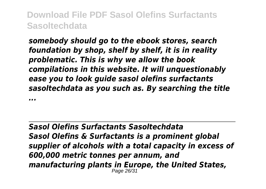*somebody should go to the ebook stores, search foundation by shop, shelf by shelf, it is in reality problematic. This is why we allow the book compilations in this website. It will unquestionably ease you to look guide sasol olefins surfactants sasoltechdata as you such as. By searching the title*

*...*

*Sasol Olefins Surfactants Sasoltechdata Sasol Olefins & Surfactants is a prominent global supplier of alcohols with a total capacity in excess of 600,000 metric tonnes per annum, and manufacturing plants in Europe, the United States,* Page 26/31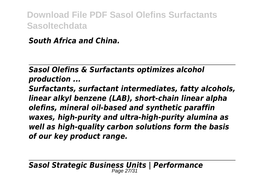*South Africa and China.*

*Sasol Olefins & Surfactants optimizes alcohol production ...*

*Surfactants, surfactant intermediates, fatty alcohols, linear alkyl benzene (LAB), short-chain linear alpha olefins, mineral oil-based and synthetic paraffin waxes, high-purity and ultra-high-purity alumina as well as high-quality carbon solutions form the basis of our key product range.*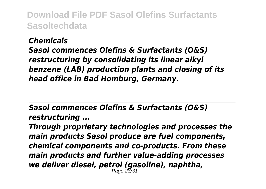#### *Chemicals*

*Sasol commences Olefins & Surfactants (O&S) restructuring by consolidating its linear alkyl benzene (LAB) production plants and closing of its head office in Bad Homburg, Germany.*

*Sasol commences Olefins & Surfactants (O&S) restructuring ...*

*Through proprietary technologies and processes the main products Sasol produce are fuel components, chemical components and co-products. From these main products and further value-adding processes we deliver diesel, petrol (gasoline), naphtha,* Page 28/31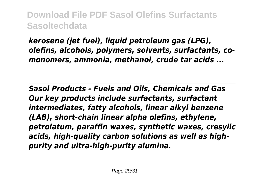*kerosene (jet fuel), liquid petroleum gas (LPG), olefins, alcohols, polymers, solvents, surfactants, comonomers, ammonia, methanol, crude tar acids ...*

*Sasol Products - Fuels and Oils, Chemicals and Gas Our key products include surfactants, surfactant intermediates, fatty alcohols, linear alkyl benzene (LAB), short-chain linear alpha olefins, ethylene, petrolatum, paraffin waxes, synthetic waxes, cresylic acids, high-quality carbon solutions as well as highpurity and ultra-high-purity alumina.*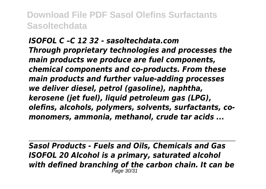*ISOFOL C –C 12 32 - sasoltechdata.com Through proprietary technologies and processes the main products we produce are fuel components, chemical components and co-products. From these main products and further value-adding processes we deliver diesel, petrol (gasoline), naphtha, kerosene (jet fuel), liquid petroleum gas (LPG), olefins, alcohols, polymers, solvents, surfactants, comonomers, ammonia, methanol, crude tar acids ...*

*Sasol Products - Fuels and Oils, Chemicals and Gas ISOFOL 20 Alcohol is a primary, saturated alcohol with defined branching of the carbon chain. It can be* Page 30/31